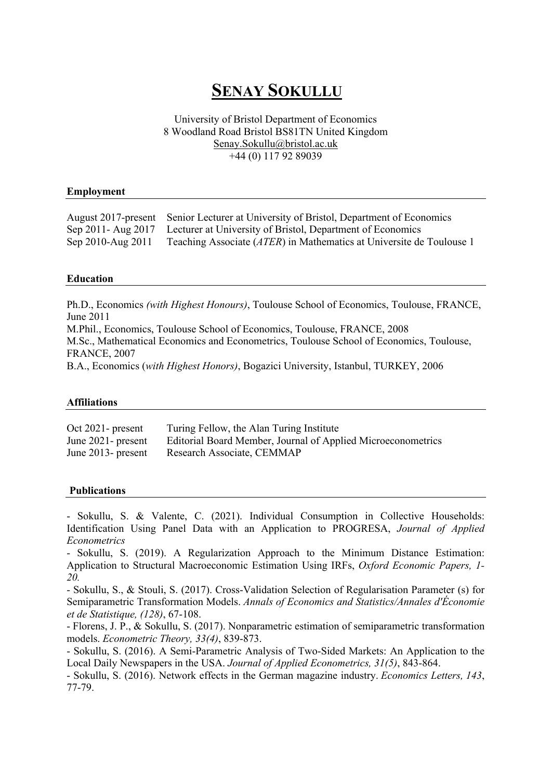# **SENAY SOKULLU**

University of Bristol Department of Economics 8 Woodland Road Bristol BS81TN United Kingdom Senay.Sokullu@bristol.ac.uk +44 (0) 117 92 89039

## **Employment**

| August 2017-present Senior Lecturer at University of Bristol, Department of Economics           |
|-------------------------------------------------------------------------------------------------|
| Sep 2011- Aug 2017 Lecturer at University of Bristol, Department of Economics                   |
| Sep 2010-Aug 2011 Teaching Associate ( <i>ATER</i> ) in Mathematics at Universite de Toulouse 1 |

## **Education**

Ph.D., Economics *(with Highest Honours)*, Toulouse School of Economics, Toulouse, FRANCE, June 2011

M.Phil., Economics, Toulouse School of Economics, Toulouse, FRANCE, 2008 M.Sc., Mathematical Economics and Econometrics, Toulouse School of Economics, Toulouse, FRANCE, 2007

B.A., Economics (*with Highest Honors)*, Bogazici University, Istanbul, TURKEY, 2006

#### **Affiliations**

| Oct $2021$ - present | Turing Fellow, the Alan Turing Institute                     |
|----------------------|--------------------------------------------------------------|
| June 2021 - present  | Editorial Board Member, Journal of Applied Microeconometrics |
| June 2013- present   | Research Associate, CEMMAP                                   |

#### **Publications**

- Sokullu, S. & Valente, C. (2021). Individual Consumption in Collective Households: Identification Using Panel Data with an Application to PROGRESA, *Journal of Applied Econometrics*

- Sokullu, S. (2019). A Regularization Approach to the Minimum Distance Estimation: Application to Structural Macroeconomic Estimation Using IRFs, *Oxford Economic Papers, 1- 20.*

- Sokullu, S., & Stouli, S. (2017). Cross-Validation Selection of Regularisation Parameter (s) for Semiparametric Transformation Models. *Annals of Economics and Statistics/Annales d'Économie et de Statistique, (128)*, 67-108.

- Florens, J. P., & Sokullu, S. (2017). Nonparametric estimation of semiparametric transformation models. *Econometric Theory, 33(4)*, 839-873.

- Sokullu, S. (2016). A Semi‐Parametric Analysis of Two‐Sided Markets: An Application to the Local Daily Newspapers in the USA. *Journal of Applied Econometrics, 31(5)*, 843-864.

- Sokullu, S. (2016). Network effects in the German magazine industry. *Economics Letters, 143*, 77-79.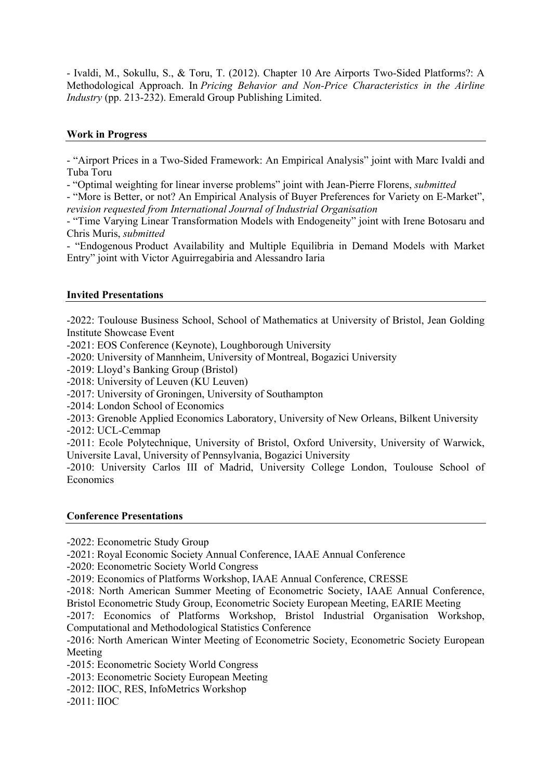- Ivaldi, M., Sokullu, S., & Toru, T. (2012). Chapter 10 Are Airports Two-Sided Platforms?: A Methodological Approach. In *Pricing Behavior and Non-Price Characteristics in the Airline Industry* (pp. 213-232). Emerald Group Publishing Limited.

# **Work in Progress**

- "Airport Prices in a Two-Sided Framework: An Empirical Analysis" joint with Marc Ivaldi and Tuba Toru

- "Optimal weighting for linear inverse problems" joint with Jean-Pierre Florens, *submitted*

- "More is Better, or not? An Empirical Analysis of Buyer Preferences for Variety on E-Market", *revision requested from International Journal of Industrial Organisation*

- "Time Varying Linear Transformation Models with Endogeneity" joint with Irene Botosaru and Chris Muris, *submitted*

- "Endogenous Product Availability and Multiple Equilibria in Demand Models with Market Entry" joint with Victor Aguirregabiria and Alessandro Iaria

# **Invited Presentations**

-2022: Toulouse Business School, School of Mathematics at University of Bristol, Jean Golding Institute Showcase Event

-2021: EOS Conference (Keynote), Loughborough University

-2020: University of Mannheim, University of Montreal, Bogazici University

-2019: Lloyd's Banking Group (Bristol)

-2018: University of Leuven (KU Leuven)

-2017: University of Groningen, University of Southampton

-2014: London School of Economics

-2013: Grenoble Applied Economics Laboratory, University of New Orleans, Bilkent University -2012: UCL-Cemmap

-2011: Ecole Polytechnique, University of Bristol, Oxford University, University of Warwick, Universite Laval, University of Pennsylvania, Bogazici University

-2010: University Carlos III of Madrid, University College London, Toulouse School of Economics

# **Conference Presentations**

-2022: Econometric Study Group

-2021: Royal Economic Society Annual Conference, IAAE Annual Conference

-2020: Econometric Society World Congress

-2019: Economics of Platforms Workshop, IAAE Annual Conference, CRESSE

-2018: North American Summer Meeting of Econometric Society, IAAE Annual Conference, Bristol Econometric Study Group, Econometric Society European Meeting, EARIE Meeting

-2017: Economics of Platforms Workshop, Bristol Industrial Organisation Workshop, Computational and Methodological Statistics Conference

-2016: North American Winter Meeting of Econometric Society, Econometric Society European Meeting

-2015: Econometric Society World Congress

-2013: Econometric Society European Meeting

-2012: IIOC, RES, InfoMetrics Workshop

-2011: IIOC